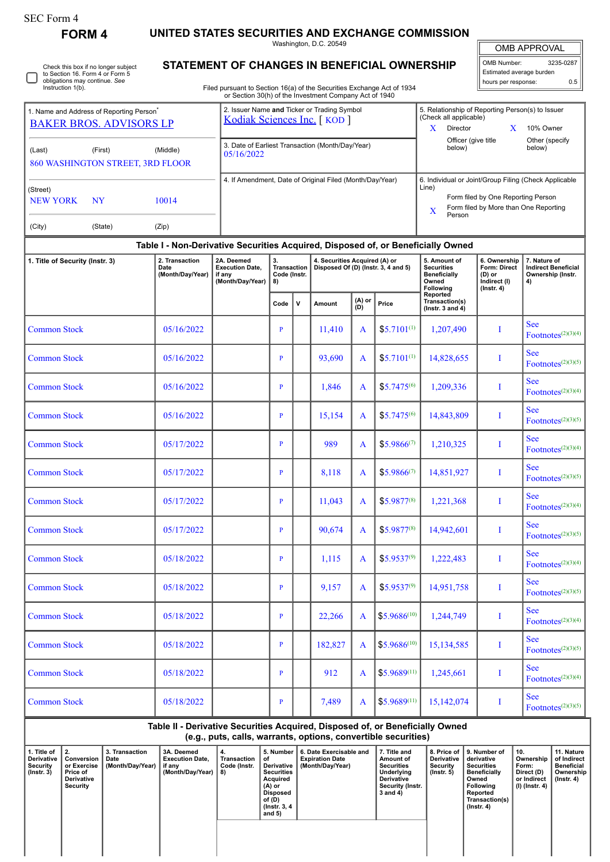| SEC Form 4 |  |
|------------|--|
|------------|--|

 $\Box$ 

| <b>SEC Form 4</b>                                                                      | <b>FORM4</b>                                                              | UNITED STATES SECURITIES AND EXCHANGE COMMISSION                                 |                                                                                                                                  |                                                |                                                                                                                |                                                                      |                  |                 |                                                                                |                                                                             |                                                                       |  |  |
|----------------------------------------------------------------------------------------|---------------------------------------------------------------------------|----------------------------------------------------------------------------------|----------------------------------------------------------------------------------------------------------------------------------|------------------------------------------------|----------------------------------------------------------------------------------------------------------------|----------------------------------------------------------------------|------------------|-----------------|--------------------------------------------------------------------------------|-----------------------------------------------------------------------------|-----------------------------------------------------------------------|--|--|
|                                                                                        |                                                                           |                                                                                  |                                                                                                                                  |                                                |                                                                                                                | Washington, D.C. 20549                                               |                  |                 |                                                                                |                                                                             | <b>OMB APPROVAL</b>                                                   |  |  |
|                                                                                        | Check this box if no longer subject                                       |                                                                                  | STATEMENT OF CHANGES IN BENEFICIAL OWNERSHIP                                                                                     |                                                | 3235-0287<br><b>OMB Number:</b>                                                                                |                                                                      |                  |                 |                                                                                |                                                                             |                                                                       |  |  |
|                                                                                        | to Section 16. Form 4 or Form 5<br>obligations may continue. See          |                                                                                  |                                                                                                                                  |                                                |                                                                                                                |                                                                      |                  |                 |                                                                                | Estimated average burden<br>hours per response:                             | 0.5                                                                   |  |  |
| Instruction 1(b).                                                                      |                                                                           |                                                                                  | Filed pursuant to Section 16(a) of the Securities Exchange Act of 1934<br>or Section 30(h) of the Investment Company Act of 1940 |                                                |                                                                                                                |                                                                      |                  |                 |                                                                                |                                                                             |                                                                       |  |  |
| 1. Name and Address of Reporting Person <sup>®</sup><br><b>BAKER BROS. ADVISORS LP</b> | 2. Issuer Name and Ticker or Trading Symbol<br>Kodiak Sciences Inc. [KOD] |                                                                                  |                                                                                                                                  |                                                | 5. Relationship of Reporting Person(s) to Issuer<br>(Check all applicable)<br>Director<br>X<br>10% Owner<br>X. |                                                                      |                  |                 |                                                                                |                                                                             |                                                                       |  |  |
|                                                                                        |                                                                           |                                                                                  |                                                                                                                                  |                                                |                                                                                                                |                                                                      |                  |                 | Other (specify<br>Officer (give title                                          |                                                                             |                                                                       |  |  |
| (Last)                                                                                 | (First)<br>860 WASHINGTON STREET, 3RD FLOOR                               | (Middle)                                                                         | 3. Date of Earliest Transaction (Month/Day/Year)<br>05/16/2022                                                                   |                                                |                                                                                                                |                                                                      | below)<br>below) |                 |                                                                                |                                                                             |                                                                       |  |  |
|                                                                                        |                                                                           |                                                                                  | 4. If Amendment, Date of Original Filed (Month/Day/Year)                                                                         |                                                |                                                                                                                |                                                                      |                  |                 | 6. Individual or Joint/Group Filing (Check Applicable                          |                                                                             |                                                                       |  |  |
| (Street)                                                                               |                                                                           |                                                                                  |                                                                                                                                  |                                                |                                                                                                                |                                                                      |                  |                 | Line)                                                                          |                                                                             |                                                                       |  |  |
| <b>NEW YORK</b>                                                                        | <b>NY</b>                                                                 | 10014                                                                            |                                                                                                                                  |                                                |                                                                                                                |                                                                      |                  |                 | X                                                                              | Form filed by One Reporting Person<br>Form filed by More than One Reporting |                                                                       |  |  |
| (City)                                                                                 | (State)                                                                   | (Zip)                                                                            |                                                                                                                                  |                                                |                                                                                                                |                                                                      |                  |                 | Person                                                                         |                                                                             |                                                                       |  |  |
|                                                                                        |                                                                           | Table I - Non-Derivative Securities Acquired, Disposed of, or Beneficially Owned |                                                                                                                                  |                                                |                                                                                                                |                                                                      |                  |                 |                                                                                |                                                                             |                                                                       |  |  |
| 1. Title of Security (Instr. 3)<br>Date                                                |                                                                           | 2. Transaction<br>(Month/Day/Year)                                               | 2A. Deemed<br><b>Execution Date.</b><br>if any<br>(Month/Day/Year)                                                               | 3.<br><b>Transaction</b><br>Code (Instr.<br>8) |                                                                                                                | 4. Securities Acquired (A) or<br>Disposed Of (D) (Instr. 3, 4 and 5) |                  |                 | 5. Amount of<br><b>Securities</b><br><b>Beneficially</b><br>Owned<br>Following | 6. Ownership<br>Form: Direct<br>(D) or<br>Indirect (I)<br>$($ Instr. 4 $)$  | 7. Nature of<br><b>Indirect Beneficial</b><br>Ownership (Instr.<br>4) |  |  |
|                                                                                        |                                                                           |                                                                                  |                                                                                                                                  | Code                                           | v                                                                                                              | Amount                                                               | $(A)$ or<br>(D)  | Price           | Reported<br>Transaction(s)<br>$($ lnstr. 3 and 4 $)$                           |                                                                             |                                                                       |  |  |
| <b>Common Stock</b>                                                                    |                                                                           | 05/16/2022                                                                       |                                                                                                                                  | P                                              |                                                                                                                | 11,410                                                               | A                | $$5,7101^{(1)}$ | 1,207,490                                                                      | T                                                                           | <b>See</b><br>$\text{ Footnotes}^{(2)(3)(4)}$                         |  |  |
| <b>Common Stock</b>                                                                    |                                                                           | 05/16/2022                                                                       |                                                                                                                                  | P                                              |                                                                                                                | 93,690                                                               | A                | $$5.7101^{(1)}$ | 14,828,655                                                                     | T                                                                           | <b>See</b><br>Footnotes $(2)(3)(5)$                                   |  |  |
| <b>Common Stock</b>                                                                    |                                                                           | 05/16/2022                                                                       |                                                                                                                                  | P                                              |                                                                                                                | 1,846                                                                | A                | $$5.7475^{(6)}$ | 1,209,336                                                                      | I                                                                           | <b>See</b><br>$\text{ Footnotes}^{(2)(3)(4)}$                         |  |  |
| <b>Common Stock</b>                                                                    |                                                                           | 05/16/2022                                                                       |                                                                                                                                  | P                                              |                                                                                                                | 15,154                                                               | A                | $$5.7475^{(6)}$ | 14,843,809                                                                     | T                                                                           | <b>See</b><br>Footnotes $(2)(3)(5)$                                   |  |  |
| <b>Common Stock</b>                                                                    |                                                                           | 05/17/2022                                                                       |                                                                                                                                  | P                                              |                                                                                                                | 989                                                                  | A                | $$5.9866^{(7)}$ | 1,210,325                                                                      | T                                                                           | <b>See</b><br>$\text{ Footnotes}^{(2)(3)(4)}$                         |  |  |
| <b>Common Stock</b>                                                                    |                                                                           | 05/17/2022                                                                       |                                                                                                                                  | $\mathbf{P}$                                   |                                                                                                                | 8,118                                                                | A                | $$5.9866^{(7)}$ | 14,851,927                                                                     | T                                                                           | <b>See</b><br>$\text{ Footnotes}^{(2)(3)(5)}$                         |  |  |
| <b>Common Stock</b>                                                                    |                                                                           | 05/17/2022                                                                       |                                                                                                                                  | $\overline{P}$                                 |                                                                                                                | 11,043                                                               | A                | $$5.9877^{(8)}$ | 1,221,368                                                                      | I                                                                           | <b>See</b><br>$\text{ Footnotes}^{(2)(3)(4)}$                         |  |  |
| <b>Common Stock</b>                                                                    |                                                                           | 05/17/2022                                                                       |                                                                                                                                  | P                                              |                                                                                                                | 90,674                                                               | A                | $$5.9877^{(8)}$ | 14,942,601                                                                     | Ι                                                                           | <b>See</b><br>$ Footnotes^{(2)(3)(5)}$                                |  |  |
|                                                                                        |                                                                           |                                                                                  |                                                                                                                                  |                                                |                                                                                                                |                                                                      |                  |                 |                                                                                |                                                                             |                                                                       |  |  |

| Table II - Derivative Securities Acquired, Disposed of, or Beneficially Owned |
|-------------------------------------------------------------------------------|
| (e.g., puts, calls, warrants, options, convertible securities)                |

See

See

See

See

See

See

 $\text{Footnotes}^{(2)(3)(4)}$ 

 $Footnotes^{(2)(3)(5)}$ 

 $\text{ Footnotes}^{(2)(3)(4)}$ 

 $\text{ Footnotes}^{(2)(3)(5)}$ 

Footnotes $(2)(3)(4)$ 

 $Footnotes^{(2)(3)(5)}$ 

Common Stock 05/18/2022 P P 1,115 A \$5.9537<sup>(9)</sup> 1,222,483 I

Common Stock 05/18/2022 P 9,157 A \$5.9537<sup>(9)</sup> 14,951,758 I

Common Stock 05/18/2022 P 22,266 A \$5.9686<sup>(10)</sup> 1,244,749 I

Common Stock 05/18/2022 P 182,827 A \$5.9686<sup>(10)</sup> 15,134,585 I

Common Stock 05/18/2022 P 912 A \$5.9689<sup>(11)</sup> 1,245,661 I

Common Stock **Common Stock P 05/18/2022 P P P 1** 7,489 **A**  $\frac{1}{35.9689^{(11)}}$  15,142,074 I

| 1. Title of<br>Derivative<br>Security<br>$($ lnstr. 3 $)$ | $\perp$ 2.<br>Conversion<br>or Exercise<br>Price of<br><b>Derivative</b><br>Security | 3. Transaction<br>Date<br>(Month/Day/Year) | 3A. Deemed<br><b>Execution Date.</b><br>if any<br>(Month/Day/Year) | 4.<br>Transaction<br>Code (Instr.<br>8) | 5. Number<br>οt<br>Derivative<br><b>Securities</b><br>Acquired<br>(A) or<br><b>Disposed</b><br>of (D)<br>(Instr. 3, 4)<br>and $5)$ | 6. Date Exercisable and<br><b>Expiration Date</b><br>(Month/Dav/Year) | 7. Title and<br>Amount of<br><b>Securities</b><br>Underlying<br><b>Derivative</b><br>Security (Instr.<br>3 and 4) | Derivative<br>Security<br>$($ lnstr. 5 $)$ | 8. Price of 19. Number of<br>derivative<br><b>Securities</b><br><b>Beneficially</b><br>Owned<br><b>Following</b><br>Reported<br>Transaction(s)<br>$($ Instr. 4 $)$ | 10.<br>Ownership<br>Form:<br>Direct (D)<br>or Indirect<br>(I) (Instr. 4) | 11. Nature<br>of Indirect<br>Beneficial<br>Ownership<br>$($ lnstr. 4 $)$ |
|-----------------------------------------------------------|--------------------------------------------------------------------------------------|--------------------------------------------|--------------------------------------------------------------------|-----------------------------------------|------------------------------------------------------------------------------------------------------------------------------------|-----------------------------------------------------------------------|-------------------------------------------------------------------------------------------------------------------|--------------------------------------------|--------------------------------------------------------------------------------------------------------------------------------------------------------------------|--------------------------------------------------------------------------|--------------------------------------------------------------------------|
|                                                           |                                                                                      |                                            |                                                                    |                                         |                                                                                                                                    |                                                                       |                                                                                                                   |                                            |                                                                                                                                                                    |                                                                          |                                                                          |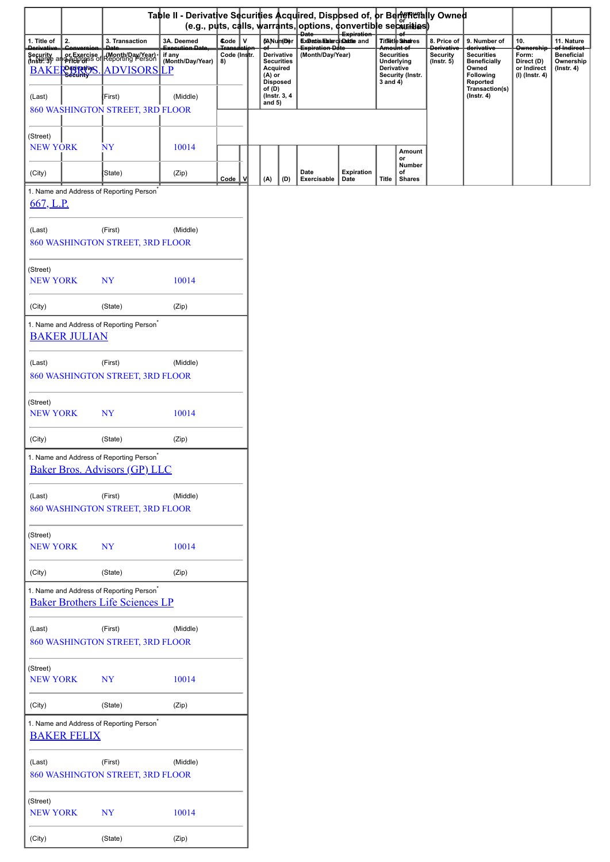|                             | Table II - Derivative Securities Acquired, Dispbsed of, or Bent metally Owned<br>  (e.g., puts, calls, warrants, options, convertible securities) |                                                                                                |                          |                     |                    |                                                  |                                                |                           |                                                                                          |                               |                                         |                                                |                                               |                                             |
|-----------------------------|---------------------------------------------------------------------------------------------------------------------------------------------------|------------------------------------------------------------------------------------------------|--------------------------|---------------------|--------------------|--------------------------------------------------|------------------------------------------------|---------------------------|------------------------------------------------------------------------------------------|-------------------------------|-----------------------------------------|------------------------------------------------|-----------------------------------------------|---------------------------------------------|
| 1. Title of                 | 2.                                                                                                                                                | 3. Transaction                                                                                 | 3A. Deemed               | $\mathbf v$<br>Code |                    | <b>(ANumDer</b>                                  | <b>Date</b><br>Experies Elater ciseatile and   | Expiration                |                                                                                          | <b>Titletle Shares</b>        | 8. Price of                             | 9. Number of                                   | 10.                                           | 11. Nature                                  |
| <b>Derivativ</b>            |                                                                                                                                                   |                                                                                                | Execution Date<br>if any | Code (Instr.        |                    | Derivative                                       | <del>Expiration Date</del><br>(Month/Day/Year) |                           |                                                                                          | <del>Amount of</del>          | <del>Derivativ</del><br><b>Security</b> | <del>derivativ</del><br><b>Securities</b>      | <b>Ownership</b><br>Form:                     | <del>of Indirect</del><br><b>Beneficial</b> |
| <b>BAKE</b>                 |                                                                                                                                                   | Security or Exercise Month/Day/Year)<br><b>PerizettyS.</b> ADVISORS LP                         | (Month/Day/Year)         | 8)                  | (A) or             | <b>Securities</b><br>Acquired<br><b>Disposed</b> |                                                |                           | <b>Securities</b><br>Underlying<br><b>Derivative</b><br>Security (Instr.<br>$3$ and $4)$ |                               | $($ Instr. 5 $)$                        | <b>Beneficially</b><br>Owned<br>Following      | Direct (D)<br>or Indirect<br>$(I)$ (Instr. 4) | Ownership<br>$($ Instr. 4 $)$               |
| (Last)                      |                                                                                                                                                   | (First)<br>860 WASHINGTON STREET, 3RD FLOOR                                                    | (Middle)                 |                     | of (D)<br>and $5)$ | (Instr. 3, 4)                                    |                                                |                           |                                                                                          |                               |                                         | Reported<br>Transaction(s)<br>$($ Instr. 4 $)$ |                                               |                                             |
| (Street)<br><b>NEW YORK</b> |                                                                                                                                                   | <b>NY</b>                                                                                      | 10014                    |                     |                    |                                                  |                                                |                           |                                                                                          | Amount<br>or                  |                                         |                                                |                                               |                                             |
| (City)                      |                                                                                                                                                   | (State)                                                                                        | (Zip)                    | Code                | (A)                | (D)                                              | Date<br>Exercisable                            | <b>Expiration</b><br>Date | <b>Title</b>                                                                             | Number<br>of<br><b>Shares</b> |                                         |                                                |                                               |                                             |
|                             |                                                                                                                                                   | 1. Name and Address of Reporting Person <sup>*</sup>                                           |                          |                     |                    |                                                  |                                                |                           |                                                                                          |                               |                                         |                                                |                                               |                                             |
| 667, L.P.                   |                                                                                                                                                   |                                                                                                |                          |                     |                    |                                                  |                                                |                           |                                                                                          |                               |                                         |                                                |                                               |                                             |
| (Last)                      |                                                                                                                                                   | (First)<br>860 WASHINGTON STREET, 3RD FLOOR                                                    | (Middle)                 |                     |                    |                                                  |                                                |                           |                                                                                          |                               |                                         |                                                |                                               |                                             |
| (Street)<br><b>NEW YORK</b> |                                                                                                                                                   | <b>NY</b>                                                                                      | 10014                    |                     |                    |                                                  |                                                |                           |                                                                                          |                               |                                         |                                                |                                               |                                             |
| (City)                      |                                                                                                                                                   | (State)                                                                                        | (Zip)                    |                     |                    |                                                  |                                                |                           |                                                                                          |                               |                                         |                                                |                                               |                                             |
|                             | <b>BAKER JULIAN</b>                                                                                                                               | 1. Name and Address of Reporting Person <sup>*</sup>                                           |                          |                     |                    |                                                  |                                                |                           |                                                                                          |                               |                                         |                                                |                                               |                                             |
| (Last)                      |                                                                                                                                                   | (First)<br>860 WASHINGTON STREET, 3RD FLOOR                                                    | (Middle)                 |                     |                    |                                                  |                                                |                           |                                                                                          |                               |                                         |                                                |                                               |                                             |
| (Street)<br><b>NEW YORK</b> |                                                                                                                                                   | <b>NY</b>                                                                                      | 10014                    |                     |                    |                                                  |                                                |                           |                                                                                          |                               |                                         |                                                |                                               |                                             |
| (City)                      |                                                                                                                                                   | (State)                                                                                        | (Zip)                    |                     |                    |                                                  |                                                |                           |                                                                                          |                               |                                         |                                                |                                               |                                             |
|                             |                                                                                                                                                   | 1. Name and Address of Reporting Person <sup>*</sup><br><b>Baker Bros. Advisors (GP) LLC</b>   |                          |                     |                    |                                                  |                                                |                           |                                                                                          |                               |                                         |                                                |                                               |                                             |
| (Last)                      |                                                                                                                                                   | (First)<br>860 WASHINGTON STREET, 3RD FLOOR                                                    | (Middle)                 |                     |                    |                                                  |                                                |                           |                                                                                          |                               |                                         |                                                |                                               |                                             |
| (Street)<br><b>NEW YORK</b> |                                                                                                                                                   | <b>NY</b>                                                                                      | 10014                    |                     |                    |                                                  |                                                |                           |                                                                                          |                               |                                         |                                                |                                               |                                             |
| (City)                      |                                                                                                                                                   | (State)                                                                                        | (Zip)                    |                     |                    |                                                  |                                                |                           |                                                                                          |                               |                                         |                                                |                                               |                                             |
|                             |                                                                                                                                                   | 1. Name and Address of Reporting Person <sup>*</sup><br><b>Baker Brothers Life Sciences LP</b> |                          |                     |                    |                                                  |                                                |                           |                                                                                          |                               |                                         |                                                |                                               |                                             |
| (Last)                      |                                                                                                                                                   | (First)<br>860 WASHINGTON STREET, 3RD FLOOR                                                    | (Middle)                 |                     |                    |                                                  |                                                |                           |                                                                                          |                               |                                         |                                                |                                               |                                             |
| (Street)<br><b>NEW YORK</b> |                                                                                                                                                   | <b>NY</b>                                                                                      | 10014                    |                     |                    |                                                  |                                                |                           |                                                                                          |                               |                                         |                                                |                                               |                                             |
| (City)                      |                                                                                                                                                   | (State)                                                                                        | (Zip)                    |                     |                    |                                                  |                                                |                           |                                                                                          |                               |                                         |                                                |                                               |                                             |
|                             | <b>BAKER FELIX</b>                                                                                                                                | 1. Name and Address of Reporting Person <sup>*</sup>                                           |                          |                     |                    |                                                  |                                                |                           |                                                                                          |                               |                                         |                                                |                                               |                                             |
| (Last)                      |                                                                                                                                                   | (First)<br>860 WASHINGTON STREET, 3RD FLOOR                                                    | (Middle)                 |                     |                    |                                                  |                                                |                           |                                                                                          |                               |                                         |                                                |                                               |                                             |
| (Street)<br><b>NEW YORK</b> |                                                                                                                                                   | <b>NY</b>                                                                                      | 10014                    |                     |                    |                                                  |                                                |                           |                                                                                          |                               |                                         |                                                |                                               |                                             |
| (City)                      |                                                                                                                                                   | (State)                                                                                        | (Zip)                    |                     |                    |                                                  |                                                |                           |                                                                                          |                               |                                         |                                                |                                               |                                             |